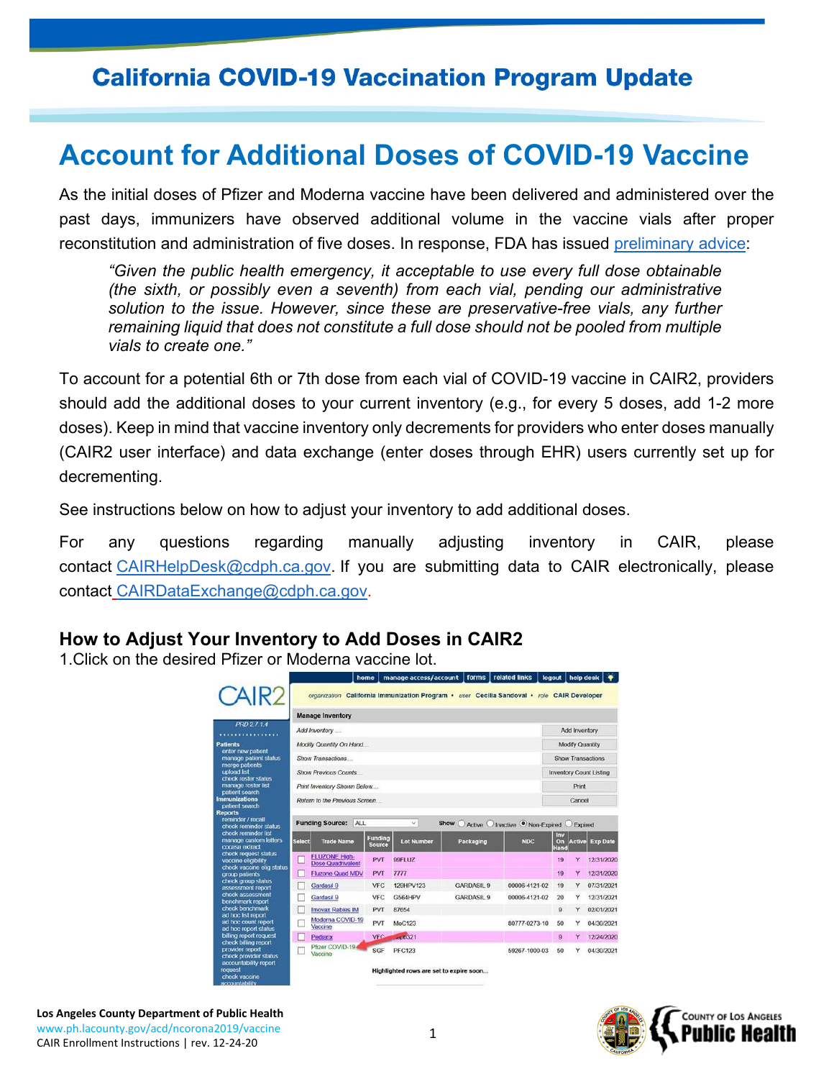## **California COVID-19 Vaccination Program Update**

# **Account for Additional Doses of COVID-19 Vaccine**

As the initial doses of Pfizer and Moderna vaccine have been delivered and administered over the past days, immunizers have observed additional volume in the vaccine vials after proper reconstitution and administration of five doses. In response, FDA has issued [preliminary advice:](https://click.icptrack.com/icp/relay.php?r=19834105&msgid=185216&act=J44V&c=1685203&destination=https%3A%2F%2Ftwitter.com%2FUS_FDA%2Fstatus%2F1339363304825905152&cf=9345&v=fdb2b66cb964a44d70c6d6470a5e9b279167b74a5dcb4b98255b3ebbaf47a96a)

*"Given the public health emergency, it acceptable to use every full dose obtainable (the sixth, or possibly even a seventh) from each vial, pending our administrative solution to the issue. However, since these are preservative-free vials, any further remaining liquid that does not constitute a full dose should not be pooled from multiple vials to create one."* 

To account for a potential 6th or 7th dose from each vial of COVID-19 vaccine in CAIR2, providers should add the additional doses to your current inventory (e.g., for every 5 doses, add 1-2 more doses). Keep in mind that vaccine inventory only decrements for providers who enter doses manually (CAIR2 user interface) and data exchange (enter doses through EHR) users currently set up for decrementing.

See instructions below on how to adjust your inventory to add additional doses.

For any questions regarding manually adjusting inventory in CAIR, please contact [CAIRHelpDesk@cdph.ca.gov.](mailto:CAIRHelpDesk@cdph.ca.gov) If you are submitting data to CAIR electronically, please contact [CAIRDataExchange@cdph.ca.gov.](mailto:CAIRDataExchange@cdph.ca.gov)

### **How to Adjust Your Inventory to Add Doses in CAIR2**

1.Click on the desired Pfizer or Moderna vaccine lot.

|                                                                                 | home                                                                                                |                          | manage access/account   forms |                                                                                            | related links | logout                         | help desk       |                 |  |
|---------------------------------------------------------------------------------|-----------------------------------------------------------------------------------------------------|--------------------------|-------------------------------|--------------------------------------------------------------------------------------------|---------------|--------------------------------|-----------------|-----------------|--|
| CAIR <sub>2</sub>                                                               |                                                                                                     |                          |                               | organization California Immunization Program • user Cecilia Sandoval • role CAIR Developer |               |                                |                 |                 |  |
|                                                                                 | <b>Manage Inventory</b>                                                                             |                          |                               |                                                                                            |               |                                |                 |                 |  |
| PRD 2714                                                                        | Add Inventory                                                                                       |                          |                               |                                                                                            |               | Add Inventory                  |                 |                 |  |
|                                                                                 | Modify Quantity On Hand                                                                             |                          |                               |                                                                                            |               |                                | Modify Quantity |                 |  |
| enter new patient<br>manage patient status                                      | Show Transactions                                                                                   |                          |                               |                                                                                            |               | <b>Show Transactions</b>       |                 |                 |  |
| merge patients                                                                  | <b>Show Previous Counts</b>                                                                         |                          |                               |                                                                                            |               | <b>Inventory Count Listing</b> |                 |                 |  |
| check roster status<br>manage roster list                                       | Print Inventory Shown Below                                                                         |                          |                               |                                                                                            |               | Print                          |                 |                 |  |
| patient search<br><b>Immunizations</b>                                          | Return to the Previous Screen                                                                       |                          |                               |                                                                                            |               | Cancel                         |                 |                 |  |
| patient search                                                                  |                                                                                                     |                          |                               |                                                                                            |               |                                |                 |                 |  |
| reminder / recall<br>check reminder status                                      | <b>Funding Source:</b><br>ALL<br>$\checkmark$<br>Show<br>Active O Inactive O Non-Expired<br>Expired |                          |                               |                                                                                            |               |                                |                 |                 |  |
| check reminder list<br>manage custom letters<br><b>Select</b><br>cocasa extract | <b>Trade Name</b>                                                                                   | Funding<br><b>Source</b> | <b>Lot Number</b>             | Packaging                                                                                  | <b>NDC</b>    | lnv<br>On:<br>Hand             | Active          | <b>Exp Date</b> |  |
| check request status<br>vaccine eligibility                                     | <b>FLUZONE High-</b><br><b>Dose Quadrivalent</b>                                                    | PVT                      | 99FLUZ                        |                                                                                            |               | 19                             | Ÿ               | 12/31/2020      |  |
| check vaccine elig status                                                       | <b>Fluzone Quad MDV</b>                                                                             | PVT                      | 7777                          |                                                                                            |               | 19                             | Y               | 12/31/2020      |  |
| check group status<br>assessment report                                         | Gardasil 9                                                                                          | <b>VFC</b>               | 129HPV123                     | <b>GARDASIL 9</b>                                                                          | 00006-4121-02 | 19                             | Y               | 07/31/2021      |  |
|                                                                                 | Gardasil 9                                                                                          | <b>VFC</b>               | G564HPV                       | <b>GARDASIL 9</b>                                                                          | 00006-4121-02 | 20                             | Y               | 12/31/2021      |  |
|                                                                                 | <b>Imovax Rabies IM</b>                                                                             | PVT                      | 87654                         |                                                                                            |               | $\Omega$                       | Y               | 02/01/2021      |  |
| ad hoc list report<br>ad hoc count report<br>ad hoc report status               | Moderna COVID-19<br>Vaccine                                                                         | PVT                      | MoC123                        |                                                                                            | 80777-0273-10 | 50                             | Y               | 04/30/2021      |  |
| billing report request                                                          | Pediarix                                                                                            | <b>VFC</b>               | $-100321$                     |                                                                                            |               | $\bf{9}$                       | Y               | 12/24/2020      |  |
| check billing report<br>provider report<br>check provider status                | Pfizer COVID-19<br>Vaccine                                                                          | SGF                      | <b>PFC123</b>                 |                                                                                            | 59267-1000-03 | 50                             | Y               | 04/30/2021      |  |
| accountability report<br>check vaccine                                          | Highlighted rows are set to expire soon                                                             |                          |                               |                                                                                            |               |                                |                 |                 |  |